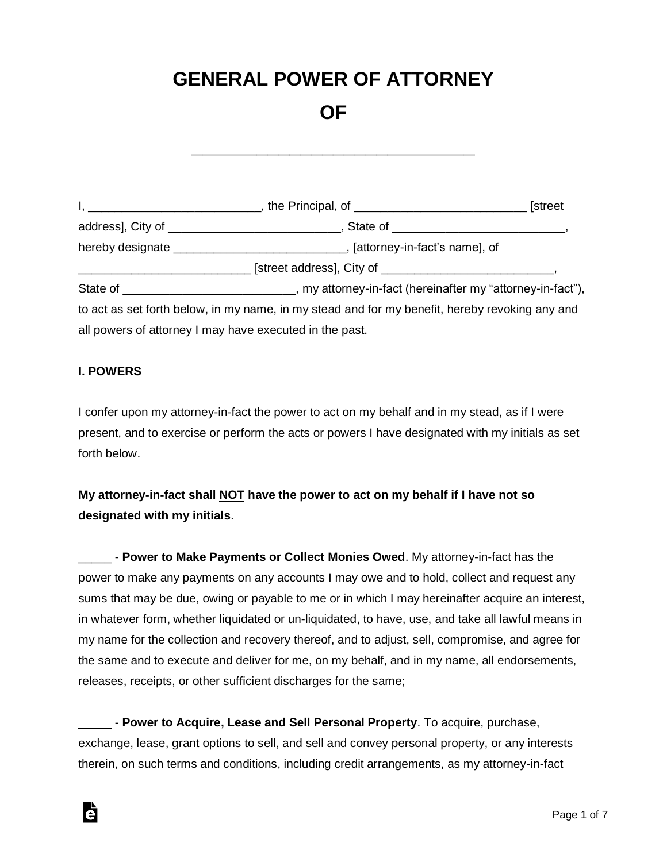# **GENERAL POWER OF ATTORNEY**

# **OF**

**\_\_\_\_\_\_\_\_\_\_\_\_\_\_\_\_\_\_\_\_\_\_\_\_\_\_**

I, \_\_\_\_\_\_\_\_\_\_\_\_\_\_\_\_\_\_\_\_\_\_\_\_\_\_, the Principal, of \_\_\_\_\_\_\_\_\_\_\_\_\_\_\_\_\_\_\_\_\_\_\_\_\_\_ [street address], City of \_\_\_\_\_\_\_\_\_\_\_\_\_\_\_\_\_\_\_\_\_\_\_\_\_\_, State of \_\_\_\_\_\_\_\_\_\_\_\_\_\_\_\_\_\_\_\_\_\_\_\_\_\_, hereby designate **thereby** designate  $\blacksquare$ , [attorney-in-fact's name], of \_\_\_\_\_\_\_\_\_\_\_\_\_\_\_\_\_\_\_\_\_\_\_\_\_\_ [street address], City of \_\_\_\_\_\_\_\_\_\_\_\_\_\_\_\_\_\_\_\_\_\_\_\_\_\_, State of \_\_\_\_\_\_\_\_\_\_\_\_\_\_\_\_\_\_\_\_\_\_\_, my attorney-in-fact (hereinafter my "attorney-in-fact"), to act as set forth below, in my name, in my stead and for my benefit, hereby revoking any and all powers of attorney I may have executed in the past.

#### **I. POWERS**

à

I confer upon my attorney-in-fact the power to act on my behalf and in my stead, as if I were present, and to exercise or perform the acts or powers I have designated with my initials as set forth below.

**My attorney-in-fact shall NOT have the power to act on my behalf if I have not so designated with my initials**.

\_\_\_\_\_ - **Power to Make Payments or Collect Monies Owed**. My attorney-in-fact has the power to make any payments on any accounts I may owe and to hold, collect and request any sums that may be due, owing or payable to me or in which I may hereinafter acquire an interest, in whatever form, whether liquidated or un-liquidated, to have, use, and take all lawful means in my name for the collection and recovery thereof, and to adjust, sell, compromise, and agree for the same and to execute and deliver for me, on my behalf, and in my name, all endorsements, releases, receipts, or other sufficient discharges for the same;

\_\_\_\_\_ - **Power to Acquire, Lease and Sell Personal Property**. To acquire, purchase, exchange, lease, grant options to sell, and sell and convey personal property, or any interests therein, on such terms and conditions, including credit arrangements, as my attorney-in-fact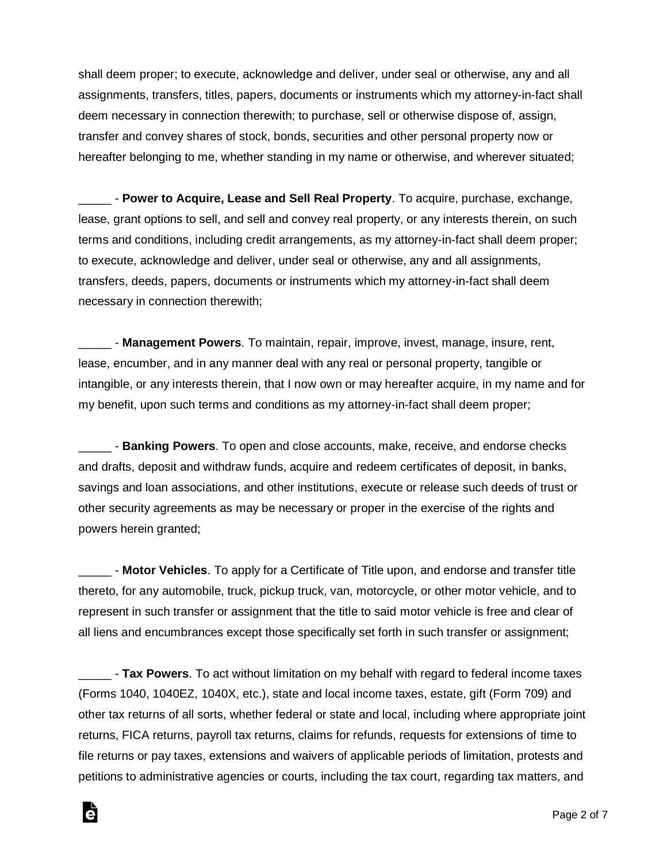shall deem proper; to execute, acknowledge and deliver, under seal or otherwise, any and all assignments, transfers, titles, papers, documents or instruments which my attorney-in-fact shall deem necessary in connection therewith; to purchase, sell or otherwise dispose of, assign, transfer and convey shares of stock, bonds, securities and other personal property now or hereafter belonging to me, whether standing in my name or otherwise, and wherever situated;

\_\_\_\_\_ - **Power to Acquire, Lease and Sell Real Property**. To acquire, purchase, exchange, lease, grant options to sell, and sell and convey real property, or any interests therein, on such terms and conditions, including credit arrangements, as my attorney-in-fact shall deem proper; to execute, acknowledge and deliver, under seal or otherwise, any and all assignments, transfers, deeds, papers, documents or instruments which my attorney-in-fact shall deem necessary in connection therewith;

\_\_\_\_\_ - **Management Powers**. To maintain, repair, improve, invest, manage, insure, rent, lease, encumber, and in any manner deal with any real or personal property, tangible or intangible, or any interests therein, that I now own or may hereafter acquire, in my name and for my benefit, upon such terms and conditions as my attorney-in-fact shall deem proper;

\_\_\_\_\_ - **Banking Powers**. To open and close accounts, make, receive, and endorse checks and drafts, deposit and withdraw funds, acquire and redeem certificates of deposit, in banks, savings and loan associations, and other institutions, execute or release such deeds of trust or other security agreements as may be necessary or proper in the exercise of the rights and powers herein granted;

\_\_\_\_\_ - **Motor Vehicles**. To apply for a Certificate of Title upon, and endorse and transfer title thereto, for any automobile, truck, pickup truck, van, motorcycle, or other motor vehicle, and to represent in such transfer or assignment that the title to said motor vehicle is free and clear of all liens and encumbrances except those specifically set forth in such transfer or assignment;

\_\_\_\_\_ - **Tax Powers**. To act without limitation on my behalf with regard to federal income taxes (Forms 1040, 1040EZ, 1040X, etc.), state and local income taxes, estate, gift (Form 709) and other tax returns of all sorts, whether federal or state and local, including where appropriate joint returns, FICA returns, payroll tax returns, claims for refunds, requests for extensions of time to file returns or pay taxes, extensions and waivers of applicable periods of limitation, protests and petitions to administrative agencies or courts, including the tax court, regarding tax matters, and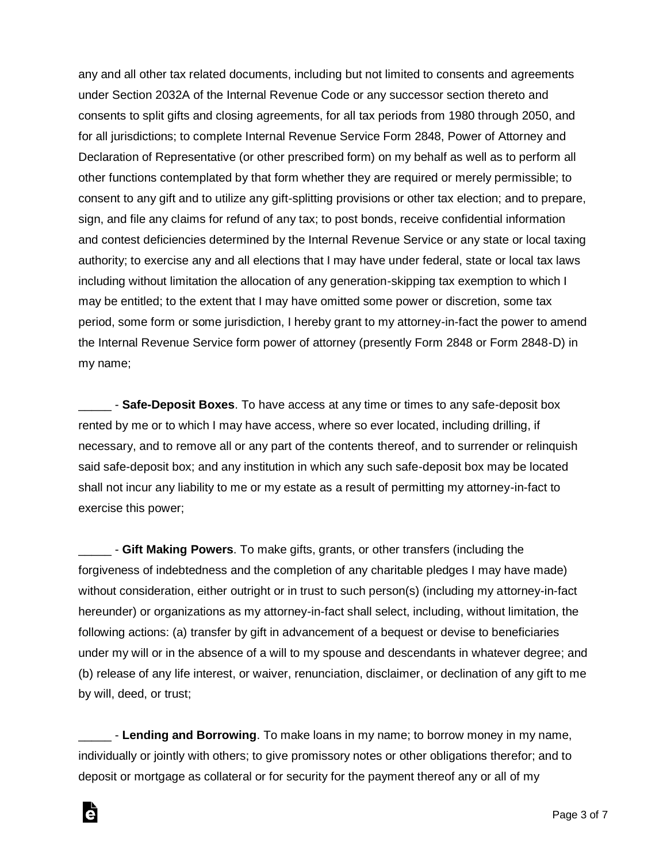any and all other tax related documents, including but not limited to consents and agreements under Section 2032A of the Internal Revenue Code or any successor section thereto and consents to split gifts and closing agreements, for all tax periods from 1980 through 2050, and for all jurisdictions; to complete Internal Revenue Service Form 2848, Power of Attorney and Declaration of Representative (or other prescribed form) on my behalf as well as to perform all other functions contemplated by that form whether they are required or merely permissible; to consent to any gift and to utilize any gift-splitting provisions or other tax election; and to prepare, sign, and file any claims for refund of any tax; to post bonds, receive confidential information and contest deficiencies determined by the Internal Revenue Service or any state or local taxing authority; to exercise any and all elections that I may have under federal, state or local tax laws including without limitation the allocation of any generation-skipping tax exemption to which I may be entitled; to the extent that I may have omitted some power or discretion, some tax period, some form or some jurisdiction, I hereby grant to my attorney-in-fact the power to amend the Internal Revenue Service form power of attorney (presently Form 2848 or Form 2848-D) in my name;

\_\_\_\_\_ - **Safe-Deposit Boxes**. To have access at any time or times to any safe-deposit box rented by me or to which I may have access, where so ever located, including drilling, if necessary, and to remove all or any part of the contents thereof, and to surrender or relinquish said safe-deposit box; and any institution in which any such safe-deposit box may be located shall not incur any liability to me or my estate as a result of permitting my attorney-in-fact to exercise this power;

\_\_\_\_\_ - **Gift Making Powers**. To make gifts, grants, or other transfers (including the forgiveness of indebtedness and the completion of any charitable pledges I may have made) without consideration, either outright or in trust to such person(s) (including my attorney-in-fact hereunder) or organizations as my attorney-in-fact shall select, including, without limitation, the following actions: (a) transfer by gift in advancement of a bequest or devise to beneficiaries under my will or in the absence of a will to my spouse and descendants in whatever degree; and (b) release of any life interest, or waiver, renunciation, disclaimer, or declination of any gift to me by will, deed, or trust;

\_\_\_\_\_ - **Lending and Borrowing**. To make loans in my name; to borrow money in my name, individually or jointly with others; to give promissory notes or other obligations therefor; and to deposit or mortgage as collateral or for security for the payment thereof any or all of my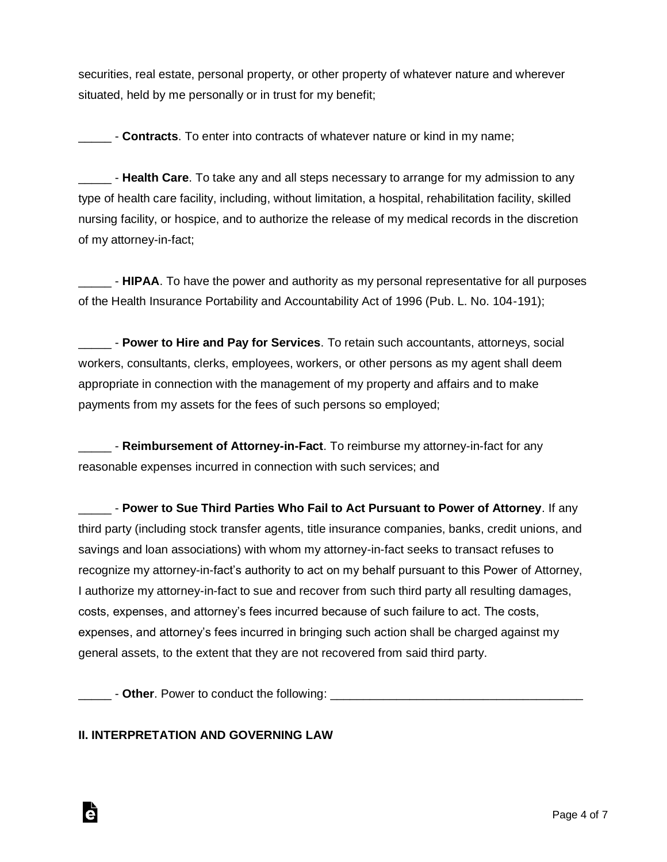securities, real estate, personal property, or other property of whatever nature and wherever situated, held by me personally or in trust for my benefit;

\_\_\_\_\_ - **Contracts**. To enter into contracts of whatever nature or kind in my name;

**\_\_\_\_\_** - Health Care. To take any and all steps necessary to arrange for my admission to any type of health care facility, including, without limitation, a hospital, rehabilitation facility, skilled nursing facility, or hospice, and to authorize the release of my medical records in the discretion of my attorney-in-fact;

\_\_\_\_\_ - **HIPAA**. To have the power and authority as my personal representative for all purposes of the Health Insurance Portability and Accountability Act of 1996 (Pub. L. No. 104-191);

\_\_\_\_\_ - **Power to Hire and Pay for Services**. To retain such accountants, attorneys, social workers, consultants, clerks, employees, workers, or other persons as my agent shall deem appropriate in connection with the management of my property and affairs and to make payments from my assets for the fees of such persons so employed;

\_\_\_\_\_ - **Reimbursement of Attorney-in-Fact**. To reimburse my attorney-in-fact for any reasonable expenses incurred in connection with such services; and

\_\_\_\_\_ - **Power to Sue Third Parties Who Fail to Act Pursuant to Power of Attorney**. If any third party (including stock transfer agents, title insurance companies, banks, credit unions, and savings and loan associations) with whom my attorney-in-fact seeks to transact refuses to recognize my attorney-in-fact's authority to act on my behalf pursuant to this Power of Attorney, I authorize my attorney-in-fact to sue and recover from such third party all resulting damages, costs, expenses, and attorney's fees incurred because of such failure to act. The costs, expenses, and attorney's fees incurred in bringing such action shall be charged against my general assets, to the extent that they are not recovered from said third party.

\_\_\_\_\_ - **Other**. Power to conduct the following: \_\_\_\_\_\_\_\_\_\_\_\_\_\_\_\_\_\_\_\_\_\_\_\_\_\_\_\_\_\_\_\_\_\_\_\_\_\_

## **II. INTERPRETATION AND GOVERNING LAW**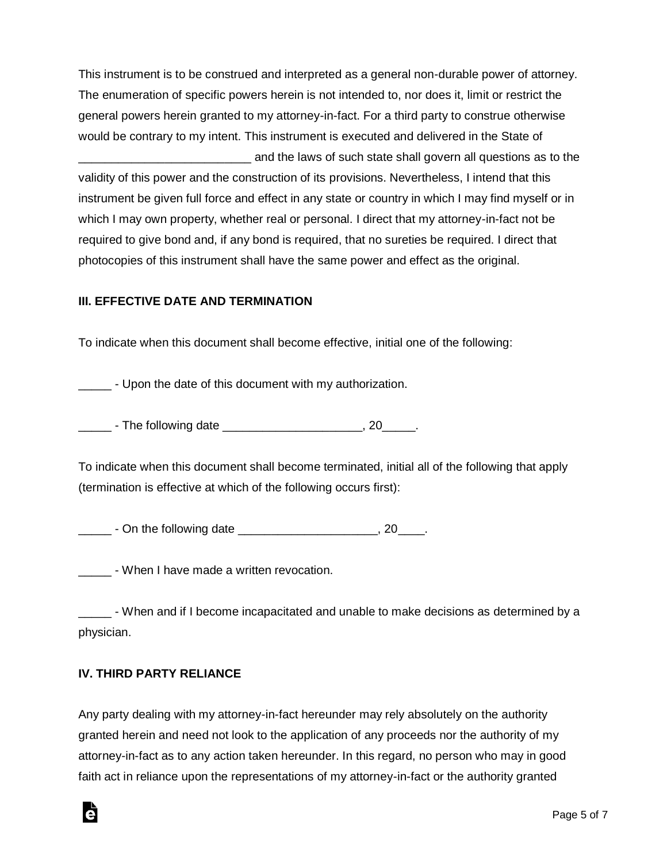This instrument is to be construed and interpreted as a general non-durable power of attorney. The enumeration of specific powers herein is not intended to, nor does it, limit or restrict the general powers herein granted to my attorney-in-fact. For a third party to construe otherwise would be contrary to my intent. This instrument is executed and delivered in the State of and the laws of such state shall govern all questions as to the

validity of this power and the construction of its provisions. Nevertheless, I intend that this instrument be given full force and effect in any state or country in which I may find myself or in which I may own property, whether real or personal. I direct that my attorney-in-fact not be required to give bond and, if any bond is required, that no sureties be required. I direct that photocopies of this instrument shall have the same power and effect as the original.

#### **III. EFFECTIVE DATE AND TERMINATION**

To indicate when this document shall become effective, initial one of the following:

- Upon the date of this document with my authorization.

Log - The following date that is a set of the set of the set of the set of the set of the set of the set of th

To indicate when this document shall become terminated, initial all of the following that apply (termination is effective at which of the following occurs first):

\_\_\_\_\_\_\_\_ - On the following date \_\_\_\_\_\_\_\_\_\_\_\_\_\_\_\_\_\_\_\_\_\_\_\_\_, 20\_\_\_\_\_.

\_\_\_\_\_ - When I have made a written revocation.

\_\_\_\_\_ - When and if I become incapacitated and unable to make decisions as determined by a physician.

## **IV. THIRD PARTY RELIANCE**

Any party dealing with my attorney-in-fact hereunder may rely absolutely on the authority granted herein and need not look to the application of any proceeds nor the authority of my attorney-in-fact as to any action taken hereunder. In this regard, no person who may in good faith act in reliance upon the representations of my attorney-in-fact or the authority granted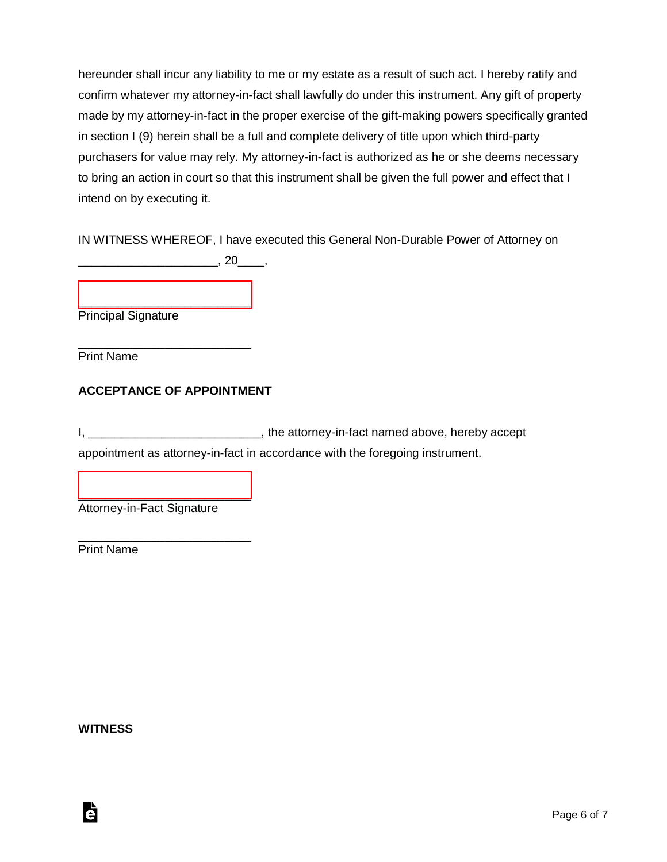hereunder shall incur any liability to me or my estate as a result of such act. I hereby ratify and confirm whatever my attorney-in-fact shall lawfully do under this instrument. Any gift of property made by my attorney-in-fact in the proper exercise of the gift-making powers specifically granted in section I (9) herein shall be a full and complete delivery of title upon which third-party purchasers for value may rely. My attorney-in-fact is authorized as he or she deems necessary to bring an action in court so that this instrument shall be given the full power and effect that I intend on by executing it.

IN WITNESS WHEREOF, I have executed this General Non-Durable Power of Attorney on  $\overline{\phantom{a}}$ , 20 $\overline{\phantom{a}}$ , 20

[\\_\\_\\_\\_\\_\\_\\_\\_\\_\\_\\_\\_\\_\\_\\_\\_\\_\\_\\_\\_\\_\\_\\_\\_\\_\\_](https://esign.com) Principal Signature

\_\_\_\_\_\_\_\_\_\_\_\_\_\_\_\_\_\_\_\_\_\_\_\_\_\_ Print Name

## **ACCEPTANCE OF APPOINTMENT**

I, \_\_\_\_\_\_\_\_\_\_\_\_\_\_\_\_\_\_\_\_\_\_\_\_\_\_\_\_, the attorney-in-fact named above, hereby accept appointment as attorney-in-fact in accordance with the foregoing instrument.

Attorney-in-Fact Signature

[\\_\\_\\_\\_\\_\\_\\_\\_\\_\\_\\_\\_\\_\\_\\_\\_\\_\\_\\_\\_\\_\\_\\_\\_\\_\\_](https://esign.com)

\_\_\_\_\_\_\_\_\_\_\_\_\_\_\_\_\_\_\_\_\_\_\_\_\_\_

Print Name

**WITNESS**